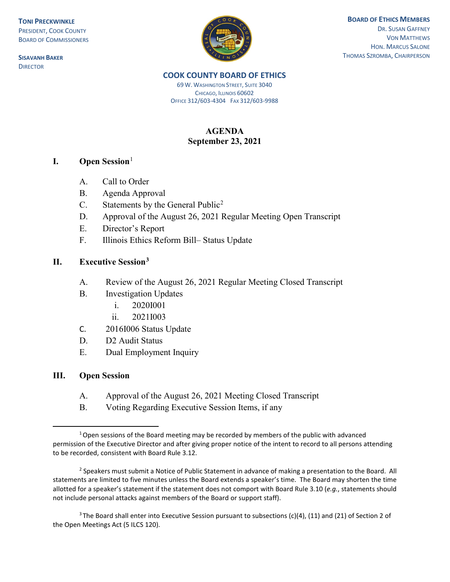**TONI PRECKWINKLE** PRESIDENT, COOK COUNTY BOARD OF COMMISSIONERS

**SISAVANH BAKER DIRECTOR** 



### **BOARD OF ETHICS MEMBERS** DR. SUSAN GAFFNEY VON MATTHEWS HON. MARCUS SALONE THOMAS SZROMBA, CHAIRPERSON

#### **COOK COUNTY BOARD OF ETHICS**

69 W. WASHINGTON STREET, SUITE 3040 CHICAGO, ILLINOIS 60602 OFFICE 312/603-4304 FAX 312/603-9988

# **AGENDA September 23, 2021**

## **I. Open Session**[1](#page-0-0)

- A. Call to Order
- B. Agenda Approval
- C. Statements by the General Public<sup>[2](#page-0-1)</sup>
- D. Approval of the August 26, 2021 Regular Meeting Open Transcript
- E. Director's Report
- F. Illinois Ethics Reform Bill– Status Update

## **II. Executive Session[3](#page-0-2)**

- A. Review of the August 26, 2021 Regular Meeting Closed Transcript
- B. Investigation Updates
	- i. 2020I001
	- ii. 2021I003
- C. 2016I006 Status Update
- D. D2 Audit Status
- E. Dual Employment Inquiry

### **III. Open Session**

- A. Approval of the August 26, 2021 Meeting Closed Transcript
- B. Voting Regarding Executive Session Items, if any

<span id="page-0-2"></span><sup>3</sup> The Board shall enter into Executive Session pursuant to subsections (c)(4), (11) and (21) of Section 2 of the Open Meetings Act (5 ILCS 120).

<span id="page-0-0"></span> $1$  Open sessions of the Board meeting may be recorded by members of the public with advanced permission of the Executive Director and after giving proper notice of the intent to record to all persons attending to be recorded, consistent with Board Rule 3.12.

<span id="page-0-1"></span><sup>&</sup>lt;sup>2</sup> Speakers must submit a Notice of Public Statement in advance of making a presentation to the Board. All statements are limited to five minutes unless the Board extends a speaker's time. The Board may shorten the time allotted for a speaker's statement if the statement does not comport with Board Rule 3.10 (*e.g.*, statements should not include personal attacks against members of the Board or support staff).